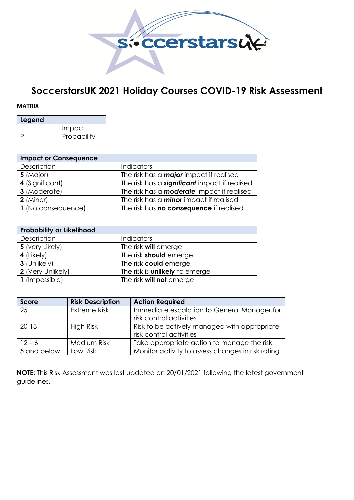

## **SoccerstarsUK 2021 Holiday Courses COVID-19 Risk Assessment**

## **MATRIX**

| Legend |             |  |  |  |  |  |  |
|--------|-------------|--|--|--|--|--|--|
|        | Impact      |  |  |  |  |  |  |
|        | Probability |  |  |  |  |  |  |

| <b>Impact or Consequence</b> |                                                      |  |  |  |  |  |  |  |
|------------------------------|------------------------------------------------------|--|--|--|--|--|--|--|
| Description                  | <b>Indicators</b>                                    |  |  |  |  |  |  |  |
| $5$ (Major)                  | The risk has a <b>major</b> impact if realised       |  |  |  |  |  |  |  |
| 4 (Significant)              | The risk has a <b>significant</b> impact if realised |  |  |  |  |  |  |  |
| 3 (Moderate)                 | The risk has a <b>moderate</b> impact if realised    |  |  |  |  |  |  |  |
| $2$ (Minor)                  | The risk has a <b>minor</b> impact if realised       |  |  |  |  |  |  |  |
| 1 (No consequence)           | The risk has no consequence if realised              |  |  |  |  |  |  |  |

| <b>Probability or Likelihood</b> |                                       |  |  |  |  |  |  |
|----------------------------------|---------------------------------------|--|--|--|--|--|--|
| Description                      | <b>Indicators</b>                     |  |  |  |  |  |  |
| 5 (very Likely)                  | The risk <b>will</b> emerge           |  |  |  |  |  |  |
| $4$ (Likely)                     | The risk <b>should</b> emerge         |  |  |  |  |  |  |
| 3 (Unlikely)                     | The risk <b>could</b> emerge          |  |  |  |  |  |  |
| 2 (Very Unlikely)                | The risk is <b>unlikely</b> to emerge |  |  |  |  |  |  |
| 1 (Impossible)                   | The risk <b>will not</b> emerge       |  |  |  |  |  |  |

| Score       | <b>Risk Description</b> | <b>Action Required</b>                            |
|-------------|-------------------------|---------------------------------------------------|
| 25          | Extreme Risk            | Immediate escalation to General Manager for       |
|             |                         | risk control activities                           |
| $20 - 13$   | High Risk               | Risk to be actively managed with appropriate      |
|             |                         | risk control activities                           |
| $12 - 6$    | Medium Risk             | Take appropriate action to manage the risk        |
| 5 and below | Low Risk                | Monitor activity to assess changes in risk rating |

**NOTE:** This Risk Assessment was last updated on 20/01/2021 following the latest government guidelines.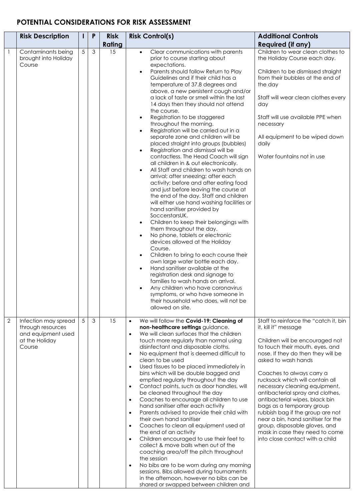## **POTENTIAL CONSIDERATIONS FOR RISK ASSESSMENT**

|                | <b>Risk Description</b>                                                                     | I.              | P | <b>Risk</b> | <b>Risk Control(s)</b>                                                                                                                                                                                                                                                                                                                                                                                                                                                                                                                                                                                                                                                                                                                                                                                                                                                                                                                                                                                                                                                                                                                                                                                                                                                                                                                                                                                                                                                                                                                                                                                         | <b>Additional Controls</b>                                                                                                                                                                                                                                                                                                                                                                                                                                                                                                                                                           |
|----------------|---------------------------------------------------------------------------------------------|-----------------|---|-------------|----------------------------------------------------------------------------------------------------------------------------------------------------------------------------------------------------------------------------------------------------------------------------------------------------------------------------------------------------------------------------------------------------------------------------------------------------------------------------------------------------------------------------------------------------------------------------------------------------------------------------------------------------------------------------------------------------------------------------------------------------------------------------------------------------------------------------------------------------------------------------------------------------------------------------------------------------------------------------------------------------------------------------------------------------------------------------------------------------------------------------------------------------------------------------------------------------------------------------------------------------------------------------------------------------------------------------------------------------------------------------------------------------------------------------------------------------------------------------------------------------------------------------------------------------------------------------------------------------------------|--------------------------------------------------------------------------------------------------------------------------------------------------------------------------------------------------------------------------------------------------------------------------------------------------------------------------------------------------------------------------------------------------------------------------------------------------------------------------------------------------------------------------------------------------------------------------------------|
|                |                                                                                             |                 |   | Rating      |                                                                                                                                                                                                                                                                                                                                                                                                                                                                                                                                                                                                                                                                                                                                                                                                                                                                                                                                                                                                                                                                                                                                                                                                                                                                                                                                                                                                                                                                                                                                                                                                                | <b>Required (if any)</b>                                                                                                                                                                                                                                                                                                                                                                                                                                                                                                                                                             |
|                | Contaminants being<br>brought into Holiday<br>Course                                        | $5\overline{)}$ | 3 | 15          | Clear communications with parents<br>$\bullet$<br>prior to course starting about<br>expectations.<br>Parents should follow Return to Play<br>$\bullet$<br>Guidelines and if their child has a<br>temperature of 37.8 degrees and<br>above, a new persistent cough and/or<br>a lack of taste or smell within the last<br>14 days then they should not attend<br>the course.<br>Registration to be staggered<br>$\bullet$<br>throughout the morning.<br>Registration will be carried out in a<br>$\bullet$<br>separate zone and children will be<br>placed straight into groups (bubbles)<br>Registration and dismissal will be<br>$\bullet$<br>contactless. The Head Coach will sign<br>all children in & out electronically.<br>All Staff and children to wash hands on<br>$\bullet$<br>arrival; after sneezing; after each<br>activity; before and after eating food<br>and just before leaving the course at<br>the end of the day. Staff and children<br>will either use hand washing facilities or<br>hand sanitiser provided by<br>SoccerstarsUK.<br>Children to keep their belongings with<br>$\bullet$<br>them throughout the day.<br>No phone, tablets or electronic<br>$\bullet$<br>devices allowed at the Holiday<br>Course.<br>Children to bring to each course their<br>$\bullet$<br>own large water bottle each day.<br>Hand sanitiser available at the<br>$\bullet$<br>registration desk and signage to<br>families to wash hands on arrival.<br>Any children who have coronavirus<br>$\bullet$<br>symptoms, or who have someone in<br>their household who does, will not be<br>allowed on site. | Children to wear clean clothes to<br>the Holiday Course each day.<br>Children to be dismissed straight<br>from their bubbles at the end of<br>the day<br>Staff will wear clean clothes every<br>day<br>Staff will use available PPE when<br>necessary<br>All equipment to be wiped down<br>daily<br>Water fountains not in use                                                                                                                                                                                                                                                       |
| $\overline{2}$ | Infection may spread<br>through resources<br>and equipment used<br>at the Holiday<br>Course | $5\overline{)}$ | 3 | 15          | We will follow the Covid-19: Cleaning of<br>$\bullet$<br>non-healthcare settings guidance.<br>We will clean surfaces that the children<br>$\bullet$<br>touch more regularly than normal using<br>disinfectant and disposable cloths.<br>No equipment that is deemed difficult to<br>$\bullet$<br>clean to be used<br>Used tissues to be placed immediately in<br>$\bullet$<br>bins which will be double bagged and<br>emptied regularly throughout the day<br>Contact points, such as door handles, will<br>$\bullet$<br>be cleaned throughout the day<br>Coaches to encourage all children to use<br>$\bullet$<br>hand sanitiser after each activity<br>Parents advised to provide their child with<br>$\bullet$<br>their own hand sanitiser<br>Coaches to clean all equipment used at<br>$\bullet$<br>the end of an activity<br>Children encouraged to use their feet to<br>$\bullet$<br>collect & move balls when out of the<br>coaching area/off the pitch throughout<br>the session<br>No bibs are to be worn during any morning<br>$\bullet$<br>sessions. Bibs allowed during tournaments<br>in the afternoon, however no bibs can be<br>shared or swapped between children and                                                                                                                                                                                                                                                                                                                                                                                                                          | Staff to reinforce the "catch it, bin<br>it, kill it" message<br>Children will be encouraged not<br>to touch their mouth, eyes, and<br>nose. If they do then they will be<br>asked to wash hands<br>Coaches to always carry a<br>rucksack which will contain all<br>necessary cleaning equipment,<br>antibacterial spray and clothes,<br>antibacterial wipes, black bin<br>bags as a temporary group<br>rubbish bag if the group are not<br>near a bin, hand sanitiser for the<br>group, disposable gloves, and<br>mask in case they need to come<br>into close contact with a child |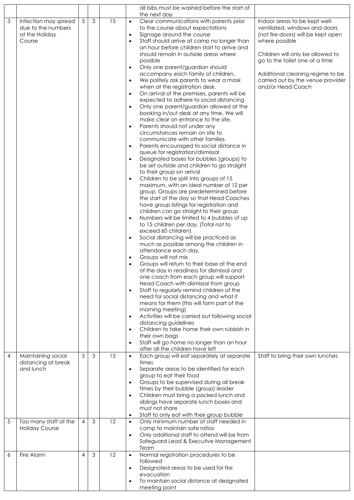|            |                                  |                |   |    | all bibs must be washed before the start of                                                            |                                                        |
|------------|----------------------------------|----------------|---|----|--------------------------------------------------------------------------------------------------------|--------------------------------------------------------|
| 3          | Infection may spread             | $\overline{5}$ | 3 | 15 | the next day<br>Clear communications with parents prior<br>$\bullet$                                   | Indoor areas to be kept well-                          |
|            | due to the numbers               |                |   |    | to the course about expectations                                                                       | ventilated, windows and doors                          |
|            | at the Holiday                   |                |   |    | Signage around the course<br>$\bullet$                                                                 | (not fire doors) will be kept open                     |
|            | Course                           |                |   |    | Staff should arrive at camp no longer than<br>$\bullet$<br>an hour before children start to arrive and | where possible                                         |
|            |                                  |                |   |    | should remain in outside areas where                                                                   | Children will only be allowed to                       |
|            |                                  |                |   |    | possible                                                                                               | go to the toilet one at a time                         |
|            |                                  |                |   |    | Only one parent/guardian should<br>$\bullet$                                                           |                                                        |
|            |                                  |                |   |    | accompany each family of children.                                                                     | Additional cleaning regime to be                       |
|            |                                  |                |   |    | We politely ask parents to wear a mask<br>$\bullet$<br>when at the registration desk.                  | carried out by the venue provider<br>and/or Head Coach |
|            |                                  |                |   |    | On arrival of the premises, parents will be<br>$\bullet$                                               |                                                        |
|            |                                  |                |   |    | expected to adhere to social distancing                                                                |                                                        |
|            |                                  |                |   |    | Only one parent/guardian allowed at the<br>$\bullet$                                                   |                                                        |
|            |                                  |                |   |    | booking in/out desk at any time. We will<br>make clear on entrance to the site.                        |                                                        |
|            |                                  |                |   |    | Parents should not under any<br>$\bullet$                                                              |                                                        |
|            |                                  |                |   |    | circumstances remain on site to                                                                        |                                                        |
|            |                                  |                |   |    | communicate with other families.<br>Parents encouraged to social distance in                           |                                                        |
|            |                                  |                |   |    | $\bullet$<br>queue for registration/dismissal                                                          |                                                        |
|            |                                  |                |   |    | Designated bases for bubbles (groups) to<br>$\bullet$                                                  |                                                        |
|            |                                  |                |   |    | be set outside and children to go straight                                                             |                                                        |
|            |                                  |                |   |    | to their group on arrival<br>Children to be split into groups of 15                                    |                                                        |
|            |                                  |                |   |    | $\bullet$<br>maximum, with an ideal number of 12 per                                                   |                                                        |
|            |                                  |                |   |    | group. Groups are predetermined before                                                                 |                                                        |
|            |                                  |                |   |    | the start of the day so that Head Coaches                                                              |                                                        |
|            |                                  |                |   |    | have group listings for registration and<br>children can go straight to their group                    |                                                        |
|            |                                  |                |   |    | Numbers will be limited to 4 bubbles of up<br>$\bullet$                                                |                                                        |
|            |                                  |                |   |    | to 15 children per day. (Total not to                                                                  |                                                        |
|            |                                  |                |   |    | exceed 60 children)                                                                                    |                                                        |
|            |                                  |                |   |    | Social distancing will be practiced as<br>$\bullet$<br>much as possible among the children in          |                                                        |
|            |                                  |                |   |    | attendance each day.                                                                                   |                                                        |
|            |                                  |                |   |    | Groups will not mix                                                                                    |                                                        |
|            |                                  |                |   |    | Groups will return to their base at the end                                                            |                                                        |
|            |                                  |                |   |    | of the day in readiness for dismissal and                                                              |                                                        |
|            |                                  |                |   |    | one coach from each group will support<br>Head Coach with dismissal from group                         |                                                        |
|            |                                  |                |   |    | Staff to regularly remind children of the<br>$\bullet$                                                 |                                                        |
|            |                                  |                |   |    | need for social distancing and what it                                                                 |                                                        |
|            |                                  |                |   |    | means for them (this will form part of the<br>morning meeting)                                         |                                                        |
|            |                                  |                |   |    | Activities will be carried out following social<br>$\bullet$                                           |                                                        |
|            |                                  |                |   |    | distancing guidelines                                                                                  |                                                        |
|            |                                  |                |   |    | Children to take home their own rubbish in<br>$\bullet$                                                |                                                        |
|            |                                  |                |   |    | their own bags<br>Staff will go home no longer than an hour<br>$\bullet$                               |                                                        |
|            |                                  |                |   |    | after all the children have left                                                                       |                                                        |
| 4          | Maintaining social               | 5              | 3 | 15 | Each group will eat separately at separate<br>$\bullet$                                                | Staff to bring their own lunches                       |
|            | distancing at break<br>and lunch |                |   |    | times                                                                                                  |                                                        |
|            |                                  |                |   |    | Separate areas to be identified for each<br>$\bullet$<br>group to eat their food                       |                                                        |
|            |                                  |                |   |    | Groups to be supervised during all break<br>$\bullet$                                                  |                                                        |
|            |                                  |                |   |    | times by their bubble (group) leader                                                                   |                                                        |
|            |                                  |                |   |    | Children must bring a packed lunch and<br>$\bullet$<br>siblings have separate lunch boxes and          |                                                        |
|            |                                  |                |   |    | must not share                                                                                         |                                                        |
|            |                                  |                |   |    | Staff to only eat with their group bubble<br>$\bullet$                                                 |                                                        |
| $\sqrt{5}$ | Too many staff at the            | $\overline{4}$ | 3 | 12 | Only minimum number of staff needed in<br>$\bullet$                                                    |                                                        |
|            | <b>Holiday Course</b>            |                |   |    | camp to maintain safe ratios<br>Only additional staff to attend will be from<br>$\bullet$              |                                                        |
|            |                                  |                |   |    | Safeguard Lead & Executive Management                                                                  |                                                        |
|            |                                  |                |   |    | Team                                                                                                   |                                                        |
| 6          | Fire Alarm                       | 4              | 3 | 12 | Normal registration procedures to be<br>$\bullet$                                                      |                                                        |
|            |                                  |                |   |    | followed<br>Designated areas to be used for fire<br>$\bullet$                                          |                                                        |
|            |                                  |                |   |    | evacuation                                                                                             |                                                        |
|            |                                  |                |   |    | To maintain social distance at designated<br>$\bullet$                                                 |                                                        |
|            |                                  |                |   |    | meeting point                                                                                          |                                                        |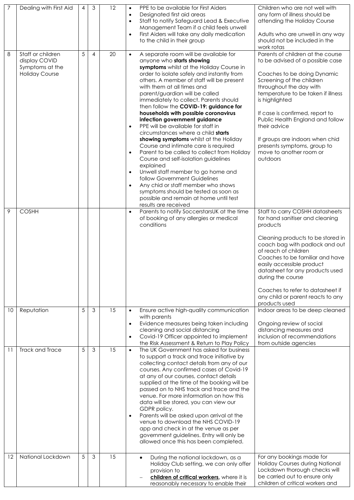|    | Dealing with First Aid                                                         | $\overline{4}$ | 3              | 12 | $\bullet$<br>$\bullet$<br>$\bullet$<br>$\bullet$              | PPE to be available for First Aiders<br>Designated first aid areas<br>Staff to notify Safeguard Lead & Executive<br>Management Team if a child feels unwell<br>First Aiders will take any daily medication<br>to the child in their group                                                                                                                                                                                                                                                                                                                                                                                                                                                                                                                                                                                                                                                                                      | Children who are not well with<br>any form of illness should be<br>attending the Holiday Course<br>Adults who are unwell in any way<br>should not be included in the<br>work rotas                                                                                                                                                                                                                                   |
|----|--------------------------------------------------------------------------------|----------------|----------------|----|---------------------------------------------------------------|--------------------------------------------------------------------------------------------------------------------------------------------------------------------------------------------------------------------------------------------------------------------------------------------------------------------------------------------------------------------------------------------------------------------------------------------------------------------------------------------------------------------------------------------------------------------------------------------------------------------------------------------------------------------------------------------------------------------------------------------------------------------------------------------------------------------------------------------------------------------------------------------------------------------------------|----------------------------------------------------------------------------------------------------------------------------------------------------------------------------------------------------------------------------------------------------------------------------------------------------------------------------------------------------------------------------------------------------------------------|
| 8  | Staff or children<br>display COVID<br>Symptoms at the<br><b>Holiday Course</b> | 5              | $\overline{4}$ | 20 | $\bullet$<br>$\bullet$<br>$\bullet$<br>$\bullet$<br>$\bullet$ | A separate room will be available for<br>anyone who starts showing<br>symptoms whilst at the Holiday Course in<br>order to isolate safely and instantly from<br>others. A member of staff will be present<br>with them at all times and<br>parent/guardian will be called<br>immediately to collect. Parents should<br>then follow the COVID-19: guidance for<br>households with possible coronavirus<br>infection government guidance<br>PPE will be available for staff in<br>circumstances where a child starts<br>showing symptoms whilst at the Holiday<br>Course and intimate care is required<br>Parent to be called to collect from Holiday<br>Course and self-isolation guidelines<br>explained<br>Unwell staff member to go home and<br>follow Government Guidelines<br>Any chid or staff member who shows<br>symptoms should be tested as soon as<br>possible and remain at home until test<br>results are received | Parents of children at the course<br>to be advised of a possible case<br>Coaches to be doing Dynamic<br>Screening of the children<br>throughout the day with<br>temperature to be taken if illness<br>is highlighted<br>If case is confirmed, report to<br>Public Health England and follow<br>their advice<br>If groups are indoors when chid<br>presents symptoms, group to<br>move to another room or<br>outdoors |
| 9  | <b>COSHH</b>                                                                   |                |                |    | $\bullet$                                                     | Parents to notify SoccerstarsUK at the time<br>of booking of any allergies or medical<br>conditions                                                                                                                                                                                                                                                                                                                                                                                                                                                                                                                                                                                                                                                                                                                                                                                                                            | Staff to carry COSHH datasheets<br>for hand sanitiser and cleaning<br>products<br>Cleaning products to be stored in<br>coach bag with padlock and out<br>of reach of children<br>Coaches to be familiar and have<br>easily accessible product<br>datasheet for any products used<br>during the course<br>Coaches to refer to datasheet if<br>any child or parent reacts to any<br>products used                      |
| 10 | Reputation                                                                     | 5              | $\mathcal{S}$  | 15 | $\bullet$<br>$\bullet$<br>$\bullet$                           | Ensure active high-quality communication<br>with parents<br>Evidence measures being taken including<br>cleaning and social distancing<br>Covid-19 Officer appointed to implement<br>the Risk Assessment & Return to Play Policy                                                                                                                                                                                                                                                                                                                                                                                                                                                                                                                                                                                                                                                                                                | Indoor areas to be deep cleaned<br>Ongoing review of social<br>distancing measures and<br>inclusion of recommendations<br>from outside agencies                                                                                                                                                                                                                                                                      |
| 11 | Track and Trace                                                                | 5              | 3              | 15 | $\bullet$<br>$\bullet$                                        | The UK Government has asked for business<br>to support a track and trace initiative by<br>collecting contact details from any of our<br>courses. Any confirmed cases of Covid-19<br>at any of our courses, contact details<br>supplied at the time of the booking will be<br>passed on to NHS track and trace and the<br>venue. For more information on how this<br>data will be stored, you can view our<br>GDPR policy.<br>Parents will be asked upon arrival at the<br>venue to download the NHS COVID-19<br>app and check in at the venue as per<br>government guidelines. Entry will only be<br>allowed once this has been completed.                                                                                                                                                                                                                                                                                     |                                                                                                                                                                                                                                                                                                                                                                                                                      |
| 12 | National Lockdown                                                              | 5              | 3              | 15 |                                                               | During the national lockdown, as a<br>$\bullet$<br>Holiday Club setting, we can only offer<br>provision to<br>children of critical workers, where it is<br>reasonably necessary to enable their                                                                                                                                                                                                                                                                                                                                                                                                                                                                                                                                                                                                                                                                                                                                | For any bookings made for<br>Holiday Courses during National<br>Lockdown thorough checks will<br>be carried out to ensure only<br>children of critical workers and                                                                                                                                                                                                                                                   |